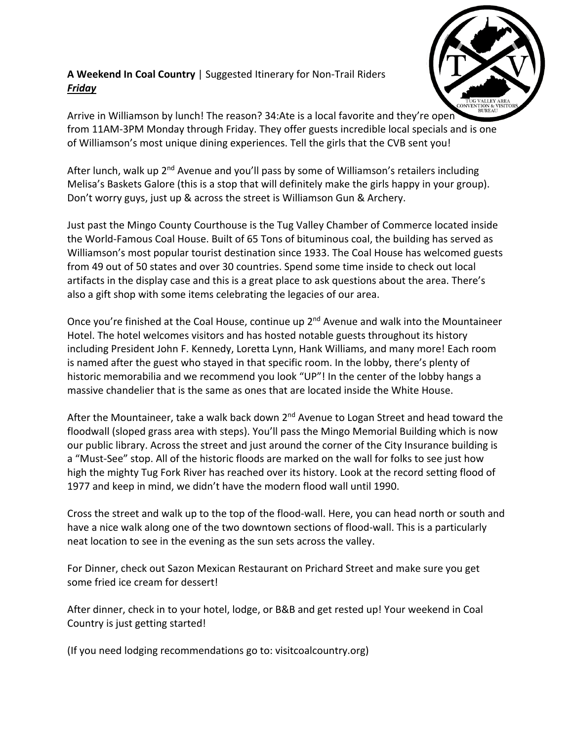## **A Weekend In Coal Country** | Suggested Itinerary for Non-Trail Riders *Friday*



Arrive in Williamson by lunch! The reason? 34:Ate is a local favorite and they're open from 11AM-3PM Monday through Friday. They offer guests incredible local specials and is one of Williamson's most unique dining experiences. Tell the girls that the CVB sent you!

After lunch, walk up 2<sup>nd</sup> Avenue and you'll pass by some of Williamson's retailers including Melisa's Baskets Galore (this is a stop that will definitely make the girls happy in your group). Don't worry guys, just up & across the street is Williamson Gun & Archery.

Just past the Mingo County Courthouse is the Tug Valley Chamber of Commerce located inside the World-Famous Coal House. Built of 65 Tons of bituminous coal, the building has served as Williamson's most popular tourist destination since 1933. The Coal House has welcomed guests from 49 out of 50 states and over 30 countries. Spend some time inside to check out local artifacts in the display case and this is a great place to ask questions about the area. There's also a gift shop with some items celebrating the legacies of our area.

Once you're finished at the Coal House, continue up 2<sup>nd</sup> Avenue and walk into the Mountaineer Hotel. The hotel welcomes visitors and has hosted notable guests throughout its history including President John F. Kennedy, Loretta Lynn, Hank Williams, and many more! Each room is named after the guest who stayed in that specific room. In the lobby, there's plenty of historic memorabilia and we recommend you look "UP"! In the center of the lobby hangs a massive chandelier that is the same as ones that are located inside the White House.

After the Mountaineer, take a walk back down  $2<sup>nd</sup>$  Avenue to Logan Street and head toward the floodwall (sloped grass area with steps). You'll pass the Mingo Memorial Building which is now our public library. Across the street and just around the corner of the City Insurance building is a "Must-See" stop. All of the historic floods are marked on the wall for folks to see just how high the mighty Tug Fork River has reached over its history. Look at the record setting flood of 1977 and keep in mind, we didn't have the modern flood wall until 1990.

Cross the street and walk up to the top of the flood-wall. Here, you can head north or south and have a nice walk along one of the two downtown sections of flood-wall. This is a particularly neat location to see in the evening as the sun sets across the valley.

For Dinner, check out Sazon Mexican Restaurant on Prichard Street and make sure you get some fried ice cream for dessert!

After dinner, check in to your hotel, lodge, or B&B and get rested up! Your weekend in Coal Country is just getting started!

(If you need lodging recommendations go to: visitcoalcountry.org)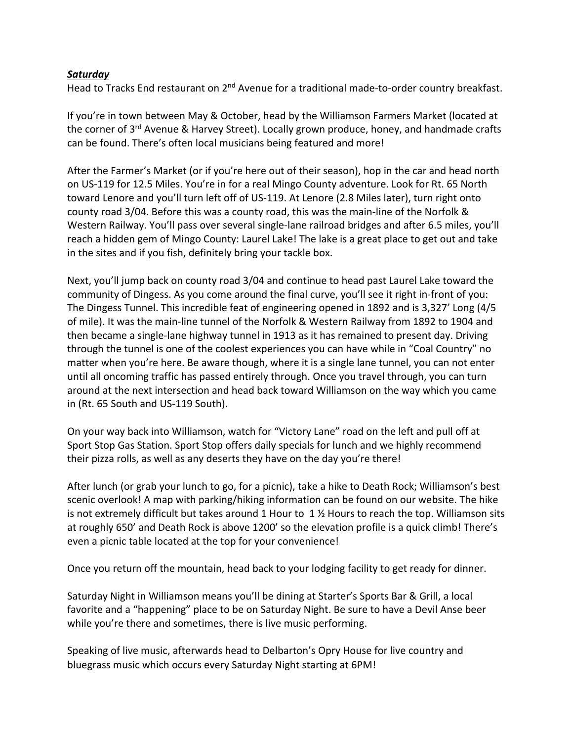## *Saturday*

Head to Tracks End restaurant on 2<sup>nd</sup> Avenue for a traditional made-to-order country breakfast.

If you're in town between May & October, head by the Williamson Farmers Market (located at the corner of 3<sup>rd</sup> Avenue & Harvey Street). Locally grown produce, honey, and handmade crafts can be found. There's often local musicians being featured and more!

After the Farmer's Market (or if you're here out of their season), hop in the car and head north on US-119 for 12.5 Miles. You're in for a real Mingo County adventure. Look for Rt. 65 North toward Lenore and you'll turn left off of US-119. At Lenore (2.8 Miles later), turn right onto county road 3/04. Before this was a county road, this was the main-line of the Norfolk & Western Railway. You'll pass over several single-lane railroad bridges and after 6.5 miles, you'll reach a hidden gem of Mingo County: Laurel Lake! The lake is a great place to get out and take in the sites and if you fish, definitely bring your tackle box.

Next, you'll jump back on county road 3/04 and continue to head past Laurel Lake toward the community of Dingess. As you come around the final curve, you'll see it right in-front of you: The Dingess Tunnel. This incredible feat of engineering opened in 1892 and is 3,327' Long (4/5 of mile). It was the main-line tunnel of the Norfolk & Western Railway from 1892 to 1904 and then became a single-lane highway tunnel in 1913 as it has remained to present day. Driving through the tunnel is one of the coolest experiences you can have while in "Coal Country" no matter when you're here. Be aware though, where it is a single lane tunnel, you can not enter until all oncoming traffic has passed entirely through. Once you travel through, you can turn around at the next intersection and head back toward Williamson on the way which you came in (Rt. 65 South and US-119 South).

On your way back into Williamson, watch for "Victory Lane" road on the left and pull off at Sport Stop Gas Station. Sport Stop offers daily specials for lunch and we highly recommend their pizza rolls, as well as any deserts they have on the day you're there!

After lunch (or grab your lunch to go, for a picnic), take a hike to Death Rock; Williamson's best scenic overlook! A map with parking/hiking information can be found on our website. The hike is not extremely difficult but takes around 1 Hour to  $1\,\%$  Hours to reach the top. Williamson sits at roughly 650' and Death Rock is above 1200' so the elevation profile is a quick climb! There's even a picnic table located at the top for your convenience!

Once you return off the mountain, head back to your lodging facility to get ready for dinner.

Saturday Night in Williamson means you'll be dining at Starter's Sports Bar & Grill, a local favorite and a "happening" place to be on Saturday Night. Be sure to have a Devil Anse beer while you're there and sometimes, there is live music performing.

Speaking of live music, afterwards head to Delbarton's Opry House for live country and bluegrass music which occurs every Saturday Night starting at 6PM!